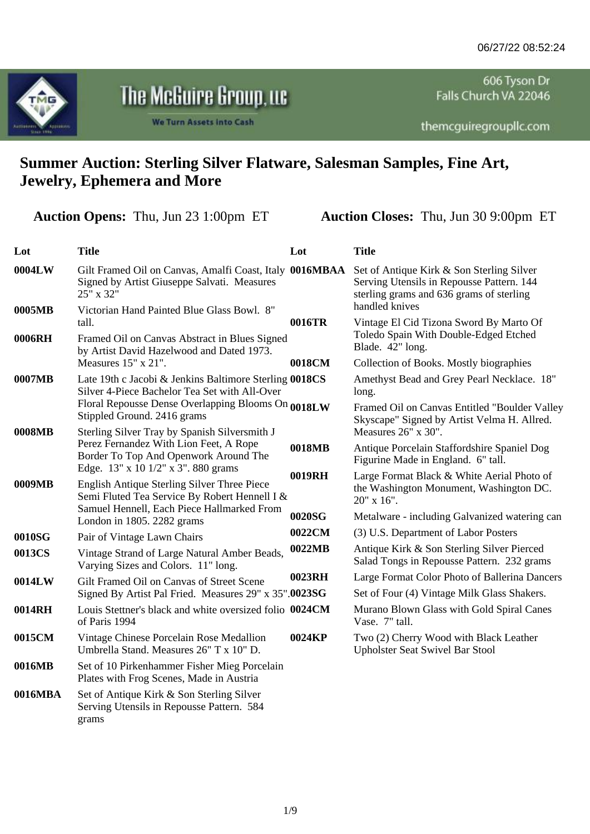

## The McGuire Group,  $\mathfrak u$ c

**We Turn Assets into Cash** 

606 Tyson Dr Falls Church VA 22046

themcguiregroupllc.com

## **Summer Auction: Sterling Silver Flatware, Salesman Samples, Fine Art, Jewelry, Ephemera and More**

**Auction Opens:** Thu, Jun 23 1:00pm ET **Auction Closes:** Thu, Jun 30 9:00pm ET

| Lot     | <b>Title</b>                                                                                                           | Lot    | <b>Title</b>                                                                                                                       |
|---------|------------------------------------------------------------------------------------------------------------------------|--------|------------------------------------------------------------------------------------------------------------------------------------|
| 0004LW  | Gilt Framed Oil on Canvas, Amalfi Coast, Italy 0016MBAA<br>Signed by Artist Giuseppe Salvati. Measures<br>25" x 32"    |        | Set of Antique Kirk & Son Sterling Silver<br>Serving Utensils in Repousse Pattern. 144<br>sterling grams and 636 grams of sterling |
| 0005MB  | Victorian Hand Painted Blue Glass Bowl. 8"<br>tall.                                                                    | 0016TR | handled knives<br>Vintage El Cid Tizona Sword By Marto Of                                                                          |
| 0006RH  | Framed Oil on Canvas Abstract in Blues Signed<br>by Artist David Hazelwood and Dated 1973.                             |        | Toledo Spain With Double-Edged Etched<br>Blade. 42" long.                                                                          |
|         | Measures 15" x 21".                                                                                                    | 0018CM | Collection of Books. Mostly biographies                                                                                            |
| 0007MB  | Late 19th c Jacobi & Jenkins Baltimore Sterling 0018CS<br>Silver 4-Piece Bachelor Tea Set with All-Over                |        | Amethyst Bead and Grey Pearl Necklace. 18"<br>long.                                                                                |
|         | Floral Repousse Dense Overlapping Blooms On 0018LW<br>Stippled Ground. 2416 grams                                      |        | Framed Oil on Canvas Entitled "Boulder Valley<br>Skyscape" Signed by Artist Velma H. Allred.                                       |
| 0008MB  | Sterling Silver Tray by Spanish Silversmith J                                                                          |        | Measures 26" x 30".                                                                                                                |
|         | Perez Fernandez With Lion Feet, A Rope<br>Border To Top And Openwork Around The<br>Edge. 13" x 10 1/2" x 3". 880 grams | 0018MB | Antique Porcelain Staffordshire Spaniel Dog<br>Figurine Made in England. 6" tall.                                                  |
| 0009MB  | English Antique Sterling Silver Three Piece<br>Semi Fluted Tea Service By Robert Hennell I &                           | 0019RH | Large Format Black & White Aerial Photo of<br>the Washington Monument, Washington DC.<br>20" x 16".                                |
|         | Samuel Hennell, Each Piece Hallmarked From<br>London in 1805. 2282 grams                                               | 0020SG | Metalware - including Galvanized watering can                                                                                      |
| 0010SG  | Pair of Vintage Lawn Chairs                                                                                            | 0022CM | (3) U.S. Department of Labor Posters                                                                                               |
| 0013CS  | Vintage Strand of Large Natural Amber Beads,<br>Varying Sizes and Colors. 11" long.                                    | 0022MB | Antique Kirk & Son Sterling Silver Pierced<br>Salad Tongs in Repousse Pattern. 232 grams                                           |
| 0014LW  | Gilt Framed Oil on Canvas of Street Scene                                                                              | 0023RH | Large Format Color Photo of Ballerina Dancers                                                                                      |
|         | Signed By Artist Pal Fried. Measures 29" x 35".0023SG                                                                  |        | Set of Four (4) Vintage Milk Glass Shakers.                                                                                        |
| 0014RH  | Louis Stettner's black and white oversized folio 0024CM<br>of Paris 1994                                               |        | Murano Blown Glass with Gold Spiral Canes<br>Vase. 7" tall.                                                                        |
| 0015CM  | Vintage Chinese Porcelain Rose Medallion<br>Umbrella Stand. Measures 26" T x 10" D.                                    | 0024KP | Two (2) Cherry Wood with Black Leather<br><b>Upholster Seat Swivel Bar Stool</b>                                                   |
| 0016MB  | Set of 10 Pirkenhammer Fisher Mieg Porcelain<br>Plates with Frog Scenes, Made in Austria                               |        |                                                                                                                                    |
| 0016MBA | Set of Antique Kirk & Son Sterling Silver<br>Serving Utensils in Repousse Pattern. 584<br>grams                        |        |                                                                                                                                    |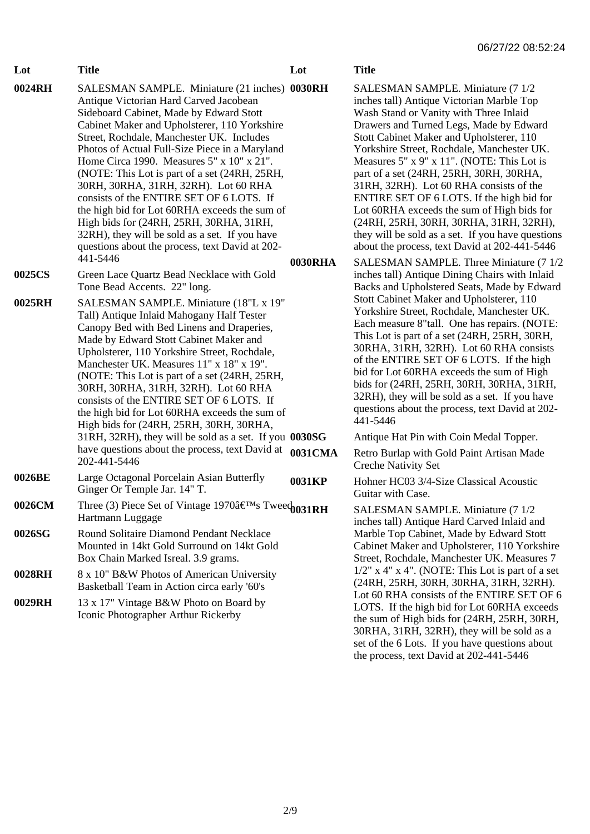| 0024RH | SALESMAN SAMPLE. Miniature (21 inches) 0030RH<br>Antique Victorian Hard Carved Jacobean<br>Sideboard Cabinet, Made by Edward Stott<br>Cabinet Maker and Upholsterer, 110 Yorkshire<br>Street, Rochdale, Manchester UK. Includes<br>Photos of Actual Full-Size Piece in a Maryland<br>Home Circa 1990. Measures 5" x 10" x 21".<br>(NOTE: This Lot is part of a set (24RH, 25RH,<br>30RH, 30RHA, 31RH, 32RH). Lot 60 RHA<br>consists of the ENTIRE SET OF 6 LOTS. If<br>the high bid for Lot 60RHA exceeds the sum of<br>High bids for (24RH, 25RH, 30RHA, 31RH,<br>32RH), they will be sold as a set. If you have<br>questions about the process, text David at 202-<br>441-5446 | 0030RHA |
|--------|----------------------------------------------------------------------------------------------------------------------------------------------------------------------------------------------------------------------------------------------------------------------------------------------------------------------------------------------------------------------------------------------------------------------------------------------------------------------------------------------------------------------------------------------------------------------------------------------------------------------------------------------------------------------------------|---------|
| 0025CS | Green Lace Quartz Bead Necklace with Gold<br>Tone Bead Accents. 22" long.                                                                                                                                                                                                                                                                                                                                                                                                                                                                                                                                                                                                        |         |
| 0025RH | SALESMAN SAMPLE. Miniature (18"L x 19"<br>Tall) Antique Inlaid Mahogany Half Tester<br>Canopy Bed with Bed Linens and Draperies,<br>Made by Edward Stott Cabinet Maker and<br>Upholsterer, 110 Yorkshire Street, Rochdale,<br>Manchester UK. Measures 11" x 18" x 19".<br>(NOTE: This Lot is part of a set (24RH, 25RH,<br>30RH, 30RHA, 31RH, 32RH). Lot 60 RHA<br>consists of the ENTIRE SET OF 6 LOTS. If<br>the high bid for Lot 60RHA exceeds the sum of<br>High bids for (24RH, 25RH, 30RH, 30RHA,<br>31RH, 32RH), they will be sold as a set. If you 0030SG<br>have questions about the process, text David at<br>202-441-5446                                             | 0031CMA |
| 0026BE | Large Octagonal Porcelain Asian Butterfly<br>Ginger Or Temple Jar. 14" T.                                                                                                                                                                                                                                                                                                                                                                                                                                                                                                                                                                                                        | 0031KP  |
| 0026CM | Three (3) Piece Set of Vintage 1970's Twee $\phi$ 031RH<br>Hartmann Luggage                                                                                                                                                                                                                                                                                                                                                                                                                                                                                                                                                                                                      |         |
| 0026SG | Round Solitaire Diamond Pendant Necklace<br>Mounted in 14kt Gold Surround on 14kt Gold<br>Box Chain Marked Isreal. 3.9 grams.                                                                                                                                                                                                                                                                                                                                                                                                                                                                                                                                                    |         |
| 0028RH | 8 x 10" B&W Photos of American University<br>Basketball Team in Action circa early '60's                                                                                                                                                                                                                                                                                                                                                                                                                                                                                                                                                                                         |         |
| 0029RH | 13 x 17" Vintage B&W Photo on Board by<br>Iconic Photographer Arthur Rickerby                                                                                                                                                                                                                                                                                                                                                                                                                                                                                                                                                                                                    |         |

**Lot Title**

**Lot Title**

SALESMAN SAMPLE. Miniature (7 1/2) inches tall) Antique Victorian Marble Top Wash Stand or Vanity with Three Inlaid Drawers and Turned Legs, Made by Edward Stott Cabinet Maker and Upholsterer, 110 Yorkshire Street, Rochdale, Manchester UK. Measures 5" x 9" x 11". (NOTE: This Lot is part of a set (24RH, 25RH, 30RH, 30RHA, 31RH, 32RH). Lot 60 RHA consists of the ENTIRE SET OF 6 LOTS. If the high bid for Lot 60RHA exceeds the sum of High bids for (24RH, 25RH, 30RH, 30RHA, 31RH, 32RH), they will be sold as a set. If you have questions about the process, text David at 202-441-5446

SALESMAN SAMPLE. Three Miniature (7 1/2) inches tall) Antique Dining Chairs with Inlaid Backs and Upholstered Seats, Made by Edward Stott Cabinet Maker and Upholsterer, 110 Yorkshire Street, Rochdale, Manchester UK. Each measure 8"tall. One has repairs. (NOTE: This Lot is part of a set (24RH, 25RH, 30RH, 30RHA, 31RH, 32RH). Lot 60 RHA consists of the ENTIRE SET OF 6 LOTS. If the high bid for Lot 60RHA exceeds the sum of High bids for (24RH, 25RH, 30RH, 30RHA, 31RH, 32RH), they will be sold as a set. If you have questions about the process, text David at 202- 441-5446

Antique Hat Pin with Coin Medal Topper.

**1** Retro Burlap with Gold Paint Artisan Made Creche Nativity Set

**Hohner HC03 3/4-Size Classical Acoustic** Guitar with Case.

SALESMAN SAMPLE. Miniature (7 1/2 inches tall) Antique Hard Carved Inlaid and Marble Top Cabinet, Made by Edward Stott Cabinet Maker and Upholsterer, 110 Yorkshire Street, Rochdale, Manchester UK. Measures 7  $1/2$ " x 4" x 4". (NOTE: This Lot is part of a set (24RH, 25RH, 30RH, 30RHA, 31RH, 32RH). Lot 60 RHA consists of the ENTIRE SET OF 6 LOTS. If the high bid for Lot 60RHA exceeds the sum of High bids for (24RH, 25RH, 30RH, 30RHA, 31RH, 32RH), they will be sold as a set of the 6 Lots. If you have questions about the process, text David at 202-441-5446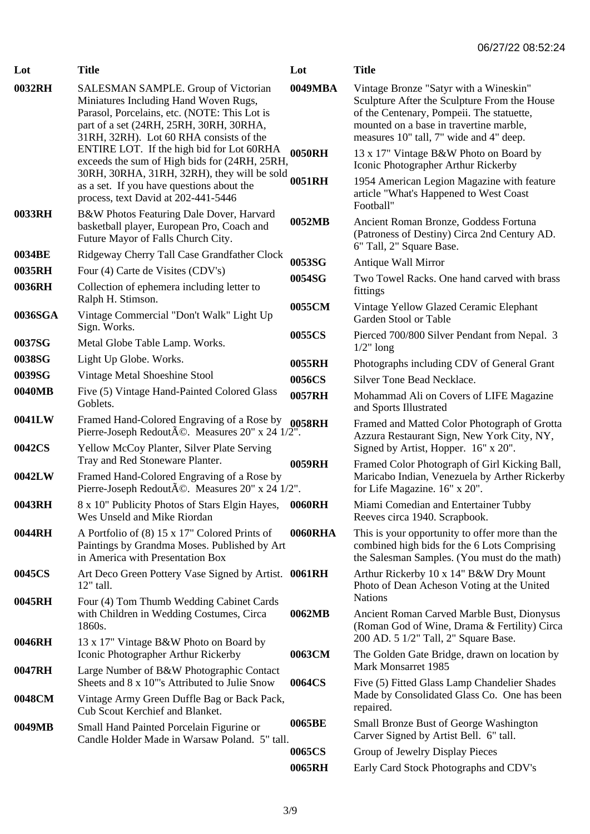| Lot     | <b>Title</b>                                                                                                                                                                                                              | Lot     | <b>Title</b>                                                                                                                                                                                                              |
|---------|---------------------------------------------------------------------------------------------------------------------------------------------------------------------------------------------------------------------------|---------|---------------------------------------------------------------------------------------------------------------------------------------------------------------------------------------------------------------------------|
| 0032RH  | <b>SALESMAN SAMPLE.</b> Group of Victorian<br>Miniatures Including Hand Woven Rugs,<br>Parasol, Porcelains, etc. (NOTE: This Lot is<br>part of a set (24RH, 25RH, 30RH, 30RHA,<br>31RH, 32RH). Lot 60 RHA consists of the | 0049MBA | Vintage Bronze "Satyr with a Wineskin"<br>Sculpture After the Sculpture From the House<br>of the Centenary, Pompeii. The statuette,<br>mounted on a base in travertine marble,<br>measures 10" tall, 7" wide and 4" deep. |
|         | ENTIRE LOT. If the high bid for Lot 60RHA<br>exceeds the sum of High bids for (24RH, 25RH,                                                                                                                                | 0050RH  | 13 x 17" Vintage B&W Photo on Board by<br>Iconic Photographer Arthur Rickerby                                                                                                                                             |
|         | 30RH, 30RHA, 31RH, 32RH), they will be sold<br>as a set. If you have questions about the<br>process, text David at 202-441-5446                                                                                           | 0051RH  | 1954 American Legion Magazine with feature<br>article "What's Happened to West Coast<br>Football"                                                                                                                         |
| 0033RH  | B&W Photos Featuring Dale Dover, Harvard<br>basketball player, European Pro, Coach and<br>Future Mayor of Falls Church City.                                                                                              | 0052MB  | Ancient Roman Bronze, Goddess Fortuna<br>(Patroness of Destiny) Circa 2nd Century AD.<br>6" Tall, 2" Square Base.                                                                                                         |
| 0034BE  | Ridgeway Cherry Tall Case Grandfather Clock                                                                                                                                                                               | 0053SG  | Antique Wall Mirror                                                                                                                                                                                                       |
| 0035RH  | Four (4) Carte de Visites (CDV's)                                                                                                                                                                                         | 0054SG  | Two Towel Racks. One hand carved with brass                                                                                                                                                                               |
| 0036RH  | Collection of ephemera including letter to<br>Ralph H. Stimson.                                                                                                                                                           |         | fittings                                                                                                                                                                                                                  |
| 0036SGA | Vintage Commercial "Don't Walk" Light Up<br>Sign. Works.                                                                                                                                                                  | 0055CM  | Vintage Yellow Glazed Ceramic Elephant<br>Garden Stool or Table                                                                                                                                                           |
| 0037SG  | Metal Globe Table Lamp. Works.                                                                                                                                                                                            | 0055CS  | Pierced 700/800 Silver Pendant from Nepal. 3<br>$1/2$ " long                                                                                                                                                              |
| 0038SG  | Light Up Globe. Works.                                                                                                                                                                                                    | 0055RH  | Photographs including CDV of General Grant                                                                                                                                                                                |
| 0039SG  | Vintage Metal Shoeshine Stool                                                                                                                                                                                             | 0056CS  | Silver Tone Bead Necklace.                                                                                                                                                                                                |
| 0040MB  | Five (5) Vintage Hand-Painted Colored Glass<br>Goblets.                                                                                                                                                                   | 0057RH  | Mohammad Ali on Covers of LIFE Magazine<br>and Sports Illustrated                                                                                                                                                         |
| 0041LW  | Framed Hand-Colored Engraving of a Rose by<br>Pierre-Joseph Redouté. Measures 20" x 24 1/2".                                                                                                                              | 0058RH  | Framed and Matted Color Photograph of Grotta<br>Azzura Restaurant Sign, New York City, NY,                                                                                                                                |
| 0042CS  | Yellow McCoy Planter, Silver Plate Serving<br>Tray and Red Stoneware Planter.                                                                                                                                             | 0059RH  | Signed by Artist, Hopper. 16" x 20".<br>Framed Color Photograph of Girl Kicking Ball,                                                                                                                                     |
| 0042LW  | Framed Hand-Colored Engraving of a Rose by<br>Pierre-Joseph Redouté. Measures 20" x 24 1/2".                                                                                                                              |         | Maricabo Indian, Venezuela by Arther Rickerby<br>for Life Magazine. 16" x 20".                                                                                                                                            |
| 0043RH  | 8 x 10" Publicity Photos of Stars Elgin Hayes,<br>Wes Unseld and Mike Riordan                                                                                                                                             | 0060RH  | Miami Comedian and Entertainer Tubby<br>Reeves circa 1940. Scrapbook.                                                                                                                                                     |
| 0044RH  | A Portfolio of (8) 15 x 17" Colored Prints of<br>Paintings by Grandma Moses. Published by Art<br>in America with Presentation Box                                                                                         | 0060RHA | This is your opportunity to offer more than the<br>combined high bids for the 6 Lots Comprising<br>the Salesman Samples. (You must do the math)                                                                           |
| 0045CS  | Art Deco Green Pottery Vase Signed by Artist. 0061RH<br>12" tall.                                                                                                                                                         |         | Arthur Rickerby 10 x 14" B&W Dry Mount<br>Photo of Dean Acheson Voting at the United                                                                                                                                      |
| 0045RH  | Four (4) Tom Thumb Wedding Cabinet Cards<br>with Children in Wedding Costumes, Circa<br>1860s.                                                                                                                            | 0062MB  | <b>Nations</b><br>Ancient Roman Carved Marble Bust, Dionysus<br>(Roman God of Wine, Drama & Fertility) Circa                                                                                                              |
| 0046RH  | 13 x 17" Vintage B&W Photo on Board by<br>Iconic Photographer Arthur Rickerby                                                                                                                                             | 0063CM  | 200 AD. 5 1/2" Tall, 2" Square Base.<br>The Golden Gate Bridge, drawn on location by                                                                                                                                      |
| 0047RH  | Large Number of B&W Photographic Contact<br>Sheets and 8 x 10"'s Attributed to Julie Snow                                                                                                                                 | 0064CS  | Mark Monsarret 1985<br>Five (5) Fitted Glass Lamp Chandelier Shades                                                                                                                                                       |
| 0048CM  | Vintage Army Green Duffle Bag or Back Pack,<br><b>Cub Scout Kerchief and Blanket.</b>                                                                                                                                     |         | Made by Consolidated Glass Co. One has been<br>repaired.                                                                                                                                                                  |
| 0049MB  | Small Hand Painted Porcelain Figurine or<br>Candle Holder Made in Warsaw Poland. 5" tall.                                                                                                                                 | 0065BE  | Small Bronze Bust of George Washington<br>Carver Signed by Artist Bell. 6" tall.                                                                                                                                          |
|         |                                                                                                                                                                                                                           | 0065CS  | Group of Jewelry Display Pieces                                                                                                                                                                                           |
|         |                                                                                                                                                                                                                           | 0065RH  | Early Card Stock Photographs and CDV's                                                                                                                                                                                    |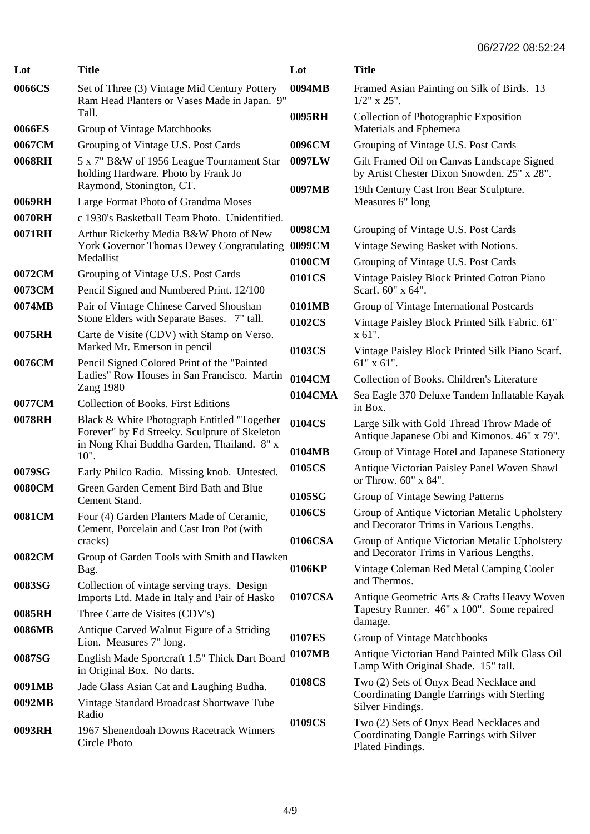| Lot    | <b>Title</b>                                                                                                 | Lot     | <b>Title</b>                                                                                            |
|--------|--------------------------------------------------------------------------------------------------------------|---------|---------------------------------------------------------------------------------------------------------|
| 0066CS | Set of Three (3) Vintage Mid Century Pottery<br>Ram Head Planters or Vases Made in Japan. 9"                 | 0094MB  | Framed Asian Painting on Silk of Birds. 13<br>$1/2$ " x $25$ ".                                         |
| 0066ES | Tall.<br>Group of Vintage Matchbooks                                                                         | 0095RH  | Collection of Photographic Exposition<br>Materials and Ephemera                                         |
| 0067CM | Grouping of Vintage U.S. Post Cards                                                                          | 0096CM  | Grouping of Vintage U.S. Post Cards                                                                     |
| 0068RH |                                                                                                              | 0097LW  |                                                                                                         |
|        | 5 x 7" B&W of 1956 League Tournament Star<br>holding Hardware. Photo by Frank Jo<br>Raymond, Stonington, CT. | 0097MB  | Gilt Framed Oil on Canvas Landscape Signed<br>by Artist Chester Dixon Snowden. 25" x 28".               |
| 0069RH | Large Format Photo of Grandma Moses                                                                          |         | 19th Century Cast Iron Bear Sculpture.<br>Measures 6" long                                              |
| 0070RH | c 1930's Basketball Team Photo. Unidentified.                                                                |         |                                                                                                         |
| 0071RH | Arthur Rickerby Media B&W Photo of New                                                                       | 0098CM  | Grouping of Vintage U.S. Post Cards                                                                     |
|        | <b>York Governor Thomas Dewey Congratulating</b>                                                             | 0099CM  | Vintage Sewing Basket with Notions.                                                                     |
|        | Medallist                                                                                                    | 0100CM  | Grouping of Vintage U.S. Post Cards                                                                     |
| 0072CM | Grouping of Vintage U.S. Post Cards                                                                          | 0101CS  | Vintage Paisley Block Printed Cotton Piano                                                              |
| 0073CM | Pencil Signed and Numbered Print. 12/100                                                                     |         | Scarf. 60" x 64".                                                                                       |
| 0074MB | Pair of Vintage Chinese Carved Shoushan                                                                      | 0101MB  | Group of Vintage International Postcards                                                                |
|        | Stone Elders with Separate Bases. 7" tall.                                                                   | 0102CS  | Vintage Paisley Block Printed Silk Fabric. 61"                                                          |
| 0075RH | Carte de Visite (CDV) with Stamp on Verso.                                                                   |         | x 61".                                                                                                  |
|        | Marked Mr. Emerson in pencil                                                                                 | 0103CS  | Vintage Paisley Block Printed Silk Piano Scarf.                                                         |
| 0076CM | Pencil Signed Colored Print of the "Painted<br>Ladies" Row Houses in San Francisco. Martin                   |         | $61"$ x $61"$ .                                                                                         |
|        | <b>Zang 1980</b>                                                                                             | 0104CM  | Collection of Books. Children's Literature                                                              |
| 0077CM | <b>Collection of Books. First Editions</b>                                                                   | 0104CMA | Sea Eagle 370 Deluxe Tandem Inflatable Kayak<br>in Box.                                                 |
| 0078RH | Black & White Photograph Entitled "Together<br>Forever" by Ed Streeky. Sculpture of Skeleton                 | 0104CS  | Large Silk with Gold Thread Throw Made of<br>Antique Japanese Obi and Kimonos. 46" x 79".               |
|        | in Nong Khai Buddha Garden, Thailand. 8" x<br>$10"$ .                                                        | 0104MB  | Group of Vintage Hotel and Japanese Stationery                                                          |
| 0079SG | Early Philco Radio. Missing knob. Untested.                                                                  | 0105CS  | Antique Victorian Paisley Panel Woven Shawl<br>or Throw. 60" x 84".                                     |
| 0080CM | Green Garden Cement Bird Bath and Blue<br>Cement Stand.                                                      | 0105SG  | Group of Vintage Sewing Patterns                                                                        |
| 0081CM | Four (4) Garden Planters Made of Ceramic,<br>Cement, Porcelain and Cast Iron Pot (with                       | 0106CS  | Group of Antique Victorian Metalic Upholstery<br>and Decorator Trims in Various Lengths.                |
| 0082CM | cracks)<br>Group of Garden Tools with Smith and Hawken                                                       | 0106CSA | Group of Antique Victorian Metalic Upholstery<br>and Decorator Trims in Various Lengths.                |
|        | Bag.                                                                                                         | 0106KP  | Vintage Coleman Red Metal Camping Cooler<br>and Thermos.                                                |
| 0083SG | Collection of vintage serving trays. Design<br>Imports Ltd. Made in Italy and Pair of Hasko                  | 0107CSA | Antique Geometric Arts & Crafts Heavy Woven                                                             |
| 0085RH | Three Carte de Visites (CDV's)                                                                               |         | Tapestry Runner. 46" x 100". Some repaired                                                              |
| 0086MB | Antique Carved Walnut Figure of a Striding                                                                   |         | damage.                                                                                                 |
|        | Lion. Measures 7" long.                                                                                      | 0107ES  | Group of Vintage Matchbooks                                                                             |
| 0087SG | English Made Sportcraft 1.5" Thick Dart Board<br>in Original Box. No darts.                                  | 0107MB  | Antique Victorian Hand Painted Milk Glass Oil<br>Lamp With Original Shade. 15" tall.                    |
| 0091MB | Jade Glass Asian Cat and Laughing Budha.                                                                     | 0108CS  | Two (2) Sets of Onyx Bead Necklace and                                                                  |
| 0092MB | Vintage Standard Broadcast Shortwave Tube<br>Radio                                                           |         | Coordinating Dangle Earrings with Sterling<br>Silver Findings.                                          |
| 0093RH | 1967 Shenendoah Downs Racetrack Winners<br>Circle Photo                                                      | 0109CS  | Two (2) Sets of Onyx Bead Necklaces and<br>Coordinating Dangle Earrings with Silver<br>Plated Findings. |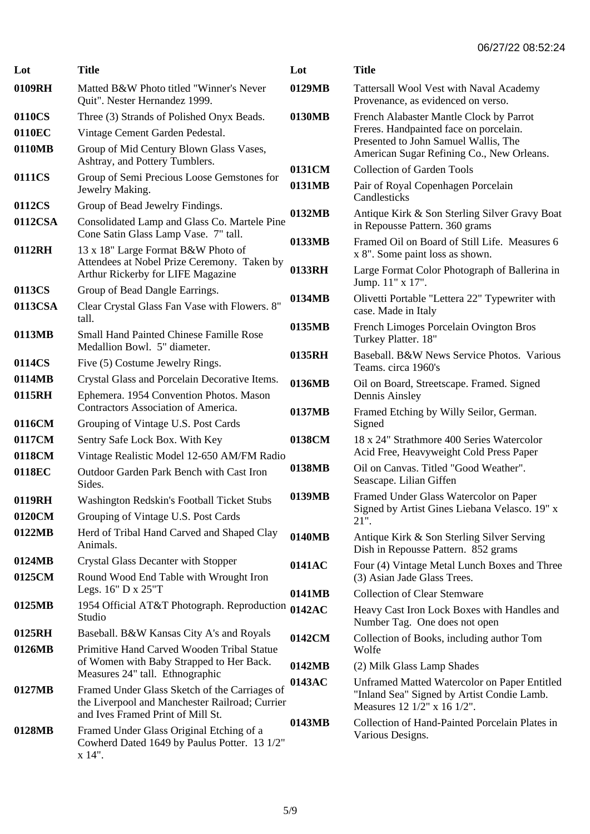| Lot              | <b>Title</b>                                                                                                                         | Lot    | <b>Title</b>                                                                                                              |
|------------------|--------------------------------------------------------------------------------------------------------------------------------------|--------|---------------------------------------------------------------------------------------------------------------------------|
| 0109RH           | Matted B&W Photo titled "Winner's Never<br>Quit". Nester Hernandez 1999.                                                             | 0129MB | Tattersall Wool Vest with Naval Academy<br>Provenance, as evidenced on verso.                                             |
| 0110CS           | Three (3) Strands of Polished Onyx Beads.                                                                                            | 0130MB | French Alabaster Mantle Clock by Parrot                                                                                   |
| 0110EC           | Vintage Cement Garden Pedestal.                                                                                                      |        | Freres. Handpainted face on porcelain.                                                                                    |
| 0110MB           | Group of Mid Century Blown Glass Vases,<br>Ashtray, and Pottery Tumblers.                                                            |        | Presented to John Samuel Wallis, The<br>American Sugar Refining Co., New Orleans.                                         |
| 0111CS           | Group of Semi Precious Loose Gemstones for                                                                                           | 0131CM | <b>Collection of Garden Tools</b>                                                                                         |
|                  | Jewelry Making.                                                                                                                      | 0131MB | Pair of Royal Copenhagen Porcelain<br>Candlesticks                                                                        |
| 0112CS           | Group of Bead Jewelry Findings.                                                                                                      | 0132MB | Antique Kirk & Son Sterling Silver Gravy Boat                                                                             |
| 0112CSA          | Consolidated Lamp and Glass Co. Martele Pine<br>Cone Satin Glass Lamp Vase. 7" tall.                                                 |        | in Repousse Pattern. 360 grams                                                                                            |
| 0112RH           | 13 x 18" Large Format B&W Photo of<br>Attendees at Nobel Prize Ceremony. Taken by                                                    | 0133MB | Framed Oil on Board of Still Life. Measures 6<br>x 8". Some paint loss as shown.                                          |
|                  | Arthur Rickerby for LIFE Magazine                                                                                                    | 0133RH | Large Format Color Photograph of Ballerina in<br>Jump. 11" x 17".                                                         |
| 0113CS           | Group of Bead Dangle Earrings.                                                                                                       | 0134MB | Olivetti Portable "Lettera 22" Typewriter with                                                                            |
| 0113CSA          | Clear Crystal Glass Fan Vase with Flowers. 8"<br>tall.                                                                               |        | case. Made in Italy                                                                                                       |
| 0113MB           | <b>Small Hand Painted Chinese Famille Rose</b>                                                                                       | 0135MB | French Limoges Porcelain Ovington Bros<br>Turkey Platter. 18"                                                             |
|                  | Medallion Bowl. 5" diameter.                                                                                                         | 0135RH | Baseball. B&W News Service Photos. Various                                                                                |
| 0114CS           | Five (5) Costume Jewelry Rings.                                                                                                      |        | Teams. circa 1960's                                                                                                       |
| 0114MB<br>0115RH | Crystal Glass and Porcelain Decorative Items.<br>Ephemera. 1954 Convention Photos. Mason                                             | 0136MB | Oil on Board, Streetscape. Framed. Signed<br>Dennis Ainsley                                                               |
| 0116CM           | Contractors Association of America.<br>Grouping of Vintage U.S. Post Cards                                                           | 0137MB | Framed Etching by Willy Seilor, German.<br>Signed                                                                         |
| 0117CM           | Sentry Safe Lock Box. With Key                                                                                                       | 0138CM | 18 x 24" Strathmore 400 Series Watercolor                                                                                 |
| 0118CM           | Vintage Realistic Model 12-650 AM/FM Radio                                                                                           |        | Acid Free, Heavyweight Cold Press Paper                                                                                   |
| 0118EC           | Outdoor Garden Park Bench with Cast Iron<br>Sides.                                                                                   | 0138MB | Oil on Canvas. Titled "Good Weather".<br>Seascape. Lilian Giffen                                                          |
| 0119RH           | Washington Redskin's Football Ticket Stubs                                                                                           | 0139MB | Framed Under Glass Watercolor on Paper                                                                                    |
| 0120CM           | Grouping of Vintage U.S. Post Cards                                                                                                  |        | Signed by Artist Gines Liebana Velasco. 19" x<br>21".                                                                     |
| 0122MB           | Herd of Tribal Hand Carved and Shaped Clay<br>Animals.                                                                               | 0140MB | Antique Kirk & Son Sterling Silver Serving<br>Dish in Repousse Pattern. 852 grams                                         |
| 0124MB           | <b>Crystal Glass Decanter with Stopper</b>                                                                                           | 0141AC | Four (4) Vintage Metal Lunch Boxes and Three                                                                              |
| 0125CM           | Round Wood End Table with Wrought Iron                                                                                               |        | (3) Asian Jade Glass Trees.                                                                                               |
|                  | Legs. 16" D x 25"T                                                                                                                   | 0141MB | <b>Collection of Clear Stemware</b>                                                                                       |
| 0125MB           | 1954 Official AT&T Photograph. Reproduction 0142AC<br>Studio                                                                         |        | Heavy Cast Iron Lock Boxes with Handles and<br>Number Tag. One does not open                                              |
| 0125RH           | Baseball. B&W Kansas City A's and Royals                                                                                             | 0142CM | Collection of Books, including author Tom                                                                                 |
| 0126MB           | Primitive Hand Carved Wooden Tribal Statue                                                                                           |        | Wolfe                                                                                                                     |
|                  | of Women with Baby Strapped to Her Back.<br>Measures 24" tall. Ethnographic                                                          | 0142MB | (2) Milk Glass Lamp Shades                                                                                                |
| 0127MB           | Framed Under Glass Sketch of the Carriages of<br>the Liverpool and Manchester Railroad; Currier<br>and Ives Framed Print of Mill St. | 0143AC | Unframed Matted Watercolor on Paper Entitled<br>"Inland Sea" Signed by Artist Condie Lamb.<br>Measures 12 1/2" x 16 1/2". |
| 0128MB           | Framed Under Glass Original Etching of a<br>Cowherd Dated 1649 by Paulus Potter. 13 1/2"<br>$x 14$ ".                                | 0143MB | Collection of Hand-Painted Porcelain Plates in<br>Various Designs.                                                        |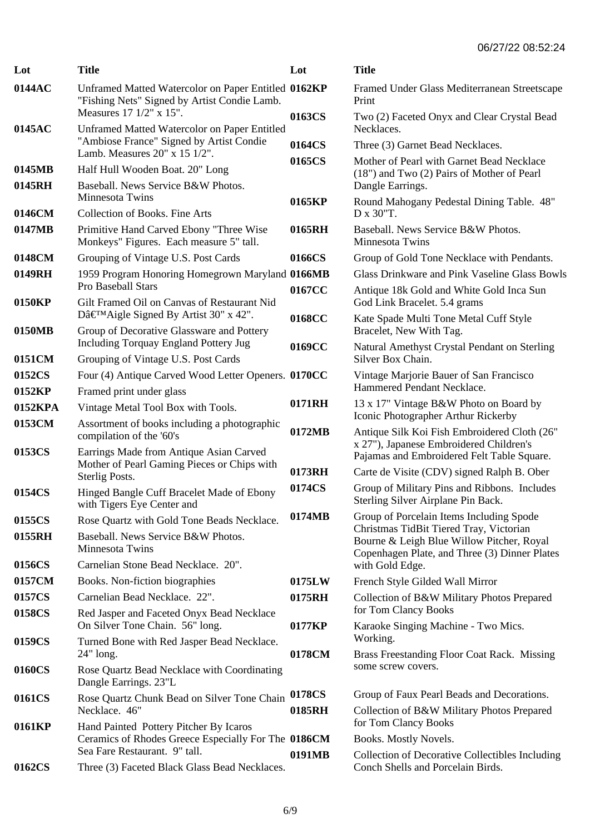| Lot     | <b>Title</b>                                                                                        | Lot    | <b>Title</b>                                                                                                                          |
|---------|-----------------------------------------------------------------------------------------------------|--------|---------------------------------------------------------------------------------------------------------------------------------------|
| 0144AC  | Unframed Matted Watercolor on Paper Entitled 0162KP<br>"Fishing Nets" Signed by Artist Condie Lamb. |        | Framed Under Glass Mediterranean Streetscape<br>Print                                                                                 |
| 0145AC  | Measures 17 1/2" x 15".<br>Unframed Matted Watercolor on Paper Entitled                             | 0163CS | Two (2) Faceted Onyx and Clear Crystal Bead<br>Necklaces.                                                                             |
|         | "Ambiose France" Signed by Artist Condie                                                            | 0164CS | Three (3) Garnet Bead Necklaces.                                                                                                      |
| 0145MB  | Lamb. Measures 20" x 15 1/2".<br>Half Hull Wooden Boat. 20" Long                                    | 0165CS | Mother of Pearl with Garnet Bead Necklace                                                                                             |
| 0145RH  | Baseball. News Service B&W Photos.                                                                  |        | (18") and Two (2) Pairs of Mother of Pearl<br>Dangle Earrings.                                                                        |
|         | Minnesota Twins                                                                                     | 0165KP | Round Mahogany Pedestal Dining Table. 48"                                                                                             |
| 0146CM  | <b>Collection of Books. Fine Arts</b>                                                               |        | D x 30"T.                                                                                                                             |
| 0147MB  | Primitive Hand Carved Ebony "Three Wise<br>Monkeys" Figures. Each measure 5" tall.                  | 0165RH | Baseball. News Service B&W Photos.<br>Minnesota Twins                                                                                 |
| 0148CM  | Grouping of Vintage U.S. Post Cards                                                                 | 0166CS | Group of Gold Tone Necklace with Pendants.                                                                                            |
| 0149RH  | 1959 Program Honoring Homegrown Maryland 0166MB<br>Pro Baseball Stars                               |        | Glass Drinkware and Pink Vaseline Glass Bowls                                                                                         |
| 0150KP  | Gilt Framed Oil on Canvas of Restaurant Nid                                                         | 0167CC | Antique 18k Gold and White Gold Inca Sun<br>God Link Bracelet. 5.4 grams                                                              |
|         | D'Aigle Signed By Artist 30" x 42".                                                                 | 0168CC | Kate Spade Multi Tone Metal Cuff Style                                                                                                |
| 0150MB  | Group of Decorative Glassware and Pottery<br><b>Including Torquay England Pottery Jug</b>           | 0169CC | Bracelet, New With Tag.                                                                                                               |
| 0151CM  | Grouping of Vintage U.S. Post Cards                                                                 |        | Natural Amethyst Crystal Pendant on Sterling<br>Silver Box Chain.                                                                     |
| 0152CS  | Four (4) Antique Carved Wood Letter Openers. 0170CC                                                 |        | Vintage Marjorie Bauer of San Francisco                                                                                               |
| 0152KP  | Framed print under glass                                                                            |        | Hammered Pendant Necklace.                                                                                                            |
| 0152KPA | Vintage Metal Tool Box with Tools.                                                                  | 0171RH | 13 x 17" Vintage B&W Photo on Board by<br>Iconic Photographer Arthur Rickerby                                                         |
| 0153CM  | Assortment of books including a photographic<br>compilation of the '60's                            | 0172MB | Antique Silk Koi Fish Embroidered Cloth (26"<br>x 27"), Japanese Embroidered Children's                                               |
| 0153CS  | Earrings Made from Antique Asian Carved<br>Mother of Pearl Gaming Pieces or Chips with              |        | Pajamas and Embroidered Felt Table Square.                                                                                            |
|         | Sterlig Posts.                                                                                      | 0173RH | Carte de Visite (CDV) signed Ralph B. Ober                                                                                            |
| 0154CS  | Hinged Bangle Cuff Bracelet Made of Ebony<br>with Tigers Eye Center and                             | 0174CS | Group of Military Pins and Ribbons. Includes<br>Sterling Silver Airplane Pin Back.                                                    |
| 0155CS  | Rose Quartz with Gold Tone Beads Necklace.                                                          | 0174MB | Group of Porcelain Items Including Spode                                                                                              |
| 0155RH  | Baseball. News Service B&W Photos.<br>Minnesota Twins                                               |        | Christmas TidBit Tiered Tray, Victorian<br>Bourne & Leigh Blue Willow Pitcher, Royal<br>Copenhagen Plate, and Three (3) Dinner Plates |
| 0156CS  | Carnelian Stone Bead Necklace. 20".                                                                 |        | with Gold Edge.                                                                                                                       |
| 0157CM  | Books. Non-fiction biographies                                                                      | 0175LW | French Style Gilded Wall Mirror                                                                                                       |
| 0157CS  | Carnelian Bead Necklace. 22".                                                                       | 0175RH | Collection of B&W Military Photos Prepared                                                                                            |
| 0158CS  | Red Jasper and Faceted Onyx Bead Necklace<br>On Silver Tone Chain. 56" long.                        | 0177KP | for Tom Clancy Books<br>Karaoke Singing Machine - Two Mics.                                                                           |
| 0159CS  | Turned Bone with Red Jasper Bead Necklace.<br>$24"$ long.                                           | 0178CM | Working.<br>Brass Freestanding Floor Coat Rack. Missing                                                                               |
| 0160CS  | Rose Quartz Bead Necklace with Coordinating<br>Dangle Earrings. 23"L                                |        | some screw covers.                                                                                                                    |
| 0161CS  | Rose Quartz Chunk Bead on Silver Tone Chain                                                         | 0178CS | Group of Faux Pearl Beads and Decorations.                                                                                            |
| 0161KP  | Necklace. 46"<br>Hand Painted Pottery Pitcher By Icaros                                             | 0185RH | Collection of B&W Military Photos Prepared<br>for Tom Clancy Books                                                                    |
|         | Ceramics of Rhodes Greece Especially For The 0186CM                                                 |        | Books. Mostly Novels.                                                                                                                 |
|         | Sea Fare Restaurant. 9" tall.                                                                       | 0191MB | Collection of Decorative Collectibles Including                                                                                       |
| 0162CS  | Three (3) Faceted Black Glass Bead Necklaces.                                                       |        | Conch Shells and Porcelain Birds.                                                                                                     |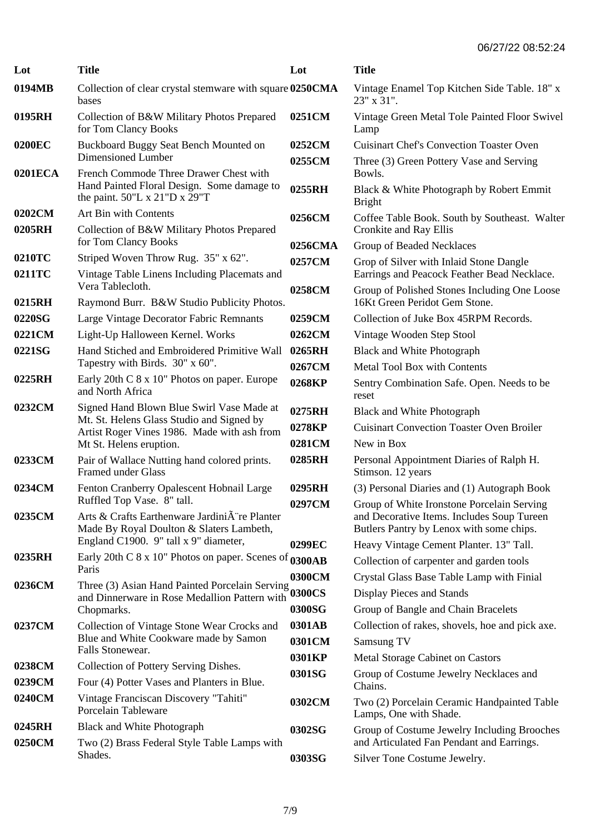| Lot              | <b>Title</b>                                                                                                                                                     | Lot     | <b>Title</b>                                                                                                                         |
|------------------|------------------------------------------------------------------------------------------------------------------------------------------------------------------|---------|--------------------------------------------------------------------------------------------------------------------------------------|
| 0194MB           | Collection of clear crystal stemware with square 0250CMA<br>bases                                                                                                |         | Vintage Enamel Top Kitchen Side Table. 18" x<br>23" x 31".                                                                           |
| 0195RH           | Collection of B&W Military Photos Prepared<br>for Tom Clancy Books                                                                                               | 0251CM  | Vintage Green Metal Tole Painted Floor Swivel<br>Lamp                                                                                |
| 0200EC           | Buckboard Buggy Seat Bench Mounted on                                                                                                                            | 0252CM  | <b>Cuisinart Chef's Convection Toaster Oven</b>                                                                                      |
| 0201ECA          | Dimensioned Lumber<br>French Commode Three Drawer Chest with                                                                                                     | 0255CM  | Three (3) Green Pottery Vase and Serving<br>Bowls.                                                                                   |
|                  | Hand Painted Floral Design. Some damage to<br>the paint. $50^{\circ}$ L x $21^{\circ}$ D x $29^{\circ}$ T                                                        | 0255RH  | Black & White Photograph by Robert Emmit<br><b>Bright</b>                                                                            |
| 0202CM           | Art Bin with Contents                                                                                                                                            | 0256CM  | Coffee Table Book. South by Southeast. Walter                                                                                        |
| 0205RH           | Collection of B&W Military Photos Prepared<br>for Tom Clancy Books                                                                                               | 0256CMA | Cronkite and Ray Ellis<br>Group of Beaded Necklaces                                                                                  |
| 0210TC           | Striped Woven Throw Rug. 35" x 62".                                                                                                                              | 0257CM  | Grop of Silver with Inlaid Stone Dangle                                                                                              |
| 0211TC           | Vintage Table Linens Including Placemats and                                                                                                                     |         | Earrings and Peacock Feather Bead Necklace.                                                                                          |
| 0215RH           | Vera Tablecloth.<br>Raymond Burr. B&W Studio Publicity Photos.                                                                                                   | 0258CM  | Group of Polished Stones Including One Loose<br>16Kt Green Peridot Gem Stone.                                                        |
| 0220SG           | Large Vintage Decorator Fabric Remnants                                                                                                                          | 0259CM  | Collection of Juke Box 45RPM Records.                                                                                                |
| 0221CM           | Light-Up Halloween Kernel. Works                                                                                                                                 | 0262CM  | Vintage Wooden Step Stool                                                                                                            |
| 0221SG           | Hand Stiched and Embroidered Primitive Wall                                                                                                                      | 0265RH  | Black and White Photograph                                                                                                           |
|                  | Tapestry with Birds. 30" x 60".                                                                                                                                  | 0267CM  | Metal Tool Box with Contents                                                                                                         |
| 0225RH           | Early 20th C 8 x 10" Photos on paper. Europe<br>and North Africa                                                                                                 | 0268KP  | Sentry Combination Safe. Open. Needs to be<br>reset                                                                                  |
| 0232CM           | Signed Hand Blown Blue Swirl Vase Made at<br>Mt. St. Helens Glass Studio and Signed by<br>Artist Roger Vines 1986. Made with ash from<br>Mt St. Helens eruption. | 0275RH  | Black and White Photograph                                                                                                           |
|                  |                                                                                                                                                                  | 0278KP  | <b>Cuisinart Convection Toaster Oven Broiler</b>                                                                                     |
|                  |                                                                                                                                                                  | 0281CM  | New in Box                                                                                                                           |
| 0233CM           | Pair of Wallace Nutting hand colored prints.<br><b>Framed under Glass</b>                                                                                        | 0285RH  | Personal Appointment Diaries of Ralph H.<br>Stimson. 12 years                                                                        |
| 0234CM           | Fenton Cranberry Opalescent Hobnail Large                                                                                                                        | 0295RH  | (3) Personal Diaries and (1) Autograph Book                                                                                          |
| 0235CM           | Ruffled Top Vase. 8" tall.<br>Arts & Crafts Earthenware JardiniA re Planter<br>Made By Royal Doulton & Slaters Lambeth,                                          | 0297CM  | Group of White Ironstone Porcelain Serving<br>and Decorative Items. Includes Soup Tureen<br>Butlers Pantry by Lenox with some chips. |
|                  | England C1900. 9" tall x 9" diameter,                                                                                                                            | 0299EC  | Heavy Vintage Cement Planter. 13" Tall.                                                                                              |
| 0235RH           | Early 20th C 8 x 10" Photos on paper. Scenes of 0300AB                                                                                                           |         | Collection of carpenter and garden tools                                                                                             |
|                  | Paris                                                                                                                                                            | 0300CM  | Crystal Glass Base Table Lamp with Finial                                                                                            |
| 0236CM           | Three (3) Asian Hand Painted Porcelain Serving                                                                                                                   | 0300CS  | Display Pieces and Stands                                                                                                            |
|                  | and Dinnerware in Rose Medallion Pattern with<br>Chopmarks.                                                                                                      | 0300SG  | Group of Bangle and Chain Bracelets                                                                                                  |
| 0237CM           | Collection of Vintage Stone Wear Crocks and<br>Blue and White Cookware made by Samon                                                                             | 0301AB  | Collection of rakes, shovels, hoe and pick axe.                                                                                      |
|                  |                                                                                                                                                                  | 0301CM  | Samsung TV                                                                                                                           |
|                  | Falls Stonewear.                                                                                                                                                 | 0301KP  | Metal Storage Cabinet on Castors                                                                                                     |
| 0238CM           | Collection of Pottery Serving Dishes.                                                                                                                            | 0301SG  | Group of Costume Jewelry Necklaces and                                                                                               |
| 0239CM           | Four (4) Potter Vases and Planters in Blue.                                                                                                                      |         | Chains.                                                                                                                              |
| 0240CM           | Vintage Franciscan Discovery "Tahiti"<br>Porcelain Tableware                                                                                                     | 0302CM  | Two (2) Porcelain Ceramic Handpainted Table<br>Lamps, One with Shade.                                                                |
| 0245RH<br>0250CM | Black and White Photograph<br>Two (2) Brass Federal Style Table Lamps with                                                                                       | 0302SG  | Group of Costume Jewelry Including Brooches<br>and Articulated Fan Pendant and Earrings.                                             |
|                  | Shades.                                                                                                                                                          | 0303SG  | Silver Tone Costume Jewelry.                                                                                                         |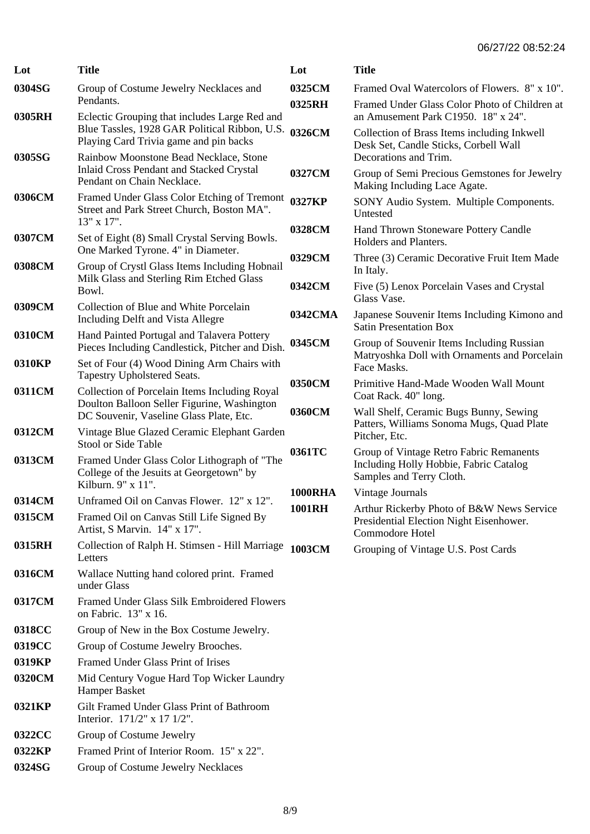## 06/27/22 08:52:24

| Lot    | <b>Title</b>                                                                                                                         | Lot            | <b>Title</b>                                                                                                  |
|--------|--------------------------------------------------------------------------------------------------------------------------------------|----------------|---------------------------------------------------------------------------------------------------------------|
| 0304SG | Group of Costume Jewelry Necklaces and<br>Pendants.                                                                                  | 0325CM         | Framed Oval Watercolors of Flowers. 8" x 10".                                                                 |
| 0305RH | Eclectic Grouping that includes Large Red and                                                                                        | 0325RH         | Framed Under Glass Color Photo of Children at<br>an Amusement Park C1950. 18" x 24".                          |
| 0305SG | Blue Tassles, 1928 GAR Political Ribbon, U.S.<br>Playing Card Trivia game and pin backs<br>Rainbow Moonstone Bead Necklace, Stone    | 0326CM         | Collection of Brass Items including Inkwell<br>Desk Set, Candle Sticks, Corbell Wall<br>Decorations and Trim. |
|        | Inlaid Cross Pendant and Stacked Crystal<br>Pendant on Chain Necklace.                                                               | 0327CM         | Group of Semi Precious Gemstones for Jewelry<br>Making Including Lace Agate.                                  |
| 0306CM | Framed Under Glass Color Etching of Tremont<br>Street and Park Street Church, Boston MA".<br>13" x 17".                              | 0327KP         | SONY Audio System. Multiple Components.<br>Untested                                                           |
| 0307CM | Set of Eight (8) Small Crystal Serving Bowls.<br>One Marked Tyrone. 4" in Diameter.                                                  | 0328CM         | Hand Thrown Stoneware Pottery Candle<br>Holders and Planters.                                                 |
| 0308CM | Group of Crystl Glass Items Including Hobnail                                                                                        | 0329CM         | Three (3) Ceramic Decorative Fruit Item Made<br>In Italy.                                                     |
|        | Milk Glass and Sterling Rim Etched Glass<br>Bowl.                                                                                    | 0342CM         | Five (5) Lenox Porcelain Vases and Crystal<br>Glass Vase.                                                     |
| 0309CM | Collection of Blue and White Porcelain<br>Including Delft and Vista Allegre                                                          | 0342CMA        | Japanese Souvenir Items Including Kimono and<br><b>Satin Presentation Box</b>                                 |
| 0310CM | Hand Painted Portugal and Talavera Pottery<br>Pieces Including Candlestick, Pitcher and Dish.                                        | 0345CM         | Group of Souvenir Items Including Russian<br>Matryoshka Doll with Ornaments and Porcelain                     |
| 0310KP | Set of Four (4) Wood Dining Arm Chairs with<br>Tapestry Upholstered Seats.                                                           | 0350CM         | Face Masks.<br>Primitive Hand-Made Wooden Wall Mount                                                          |
| 0311CM | Collection of Porcelain Items Including Royal<br>Doulton Balloon Seller Figurine, Washington                                         | 0360CM         | Coat Rack. 40" long.                                                                                          |
| 0312CM | DC Souvenir, Vaseline Glass Plate, Etc.<br>Vintage Blue Glazed Ceramic Elephant Garden                                               |                | Wall Shelf, Ceramic Bugs Bunny, Sewing<br>Patters, Williams Sonoma Mugs, Quad Plate<br>Pitcher, Etc.          |
| 0313CM | Stool or Side Table<br>Framed Under Glass Color Lithograph of "The<br>College of the Jesuits at Georgetown" by<br>Kilburn. 9" x 11". | 0361TC         | Group of Vintage Retro Fabric Remanents<br>Including Holly Hobbie, Fabric Catalog<br>Samples and Terry Cloth. |
| 0314CM | Unframed Oil on Canvas Flower. 12" x 12".                                                                                            | <b>1000RHA</b> | Vintage Journals                                                                                              |
| 0315CM | Framed Oil on Canvas Still Life Signed By<br>Artist, S Marvin. 14" x 17".                                                            | <b>1001RH</b>  | Arthur Rickerby Photo of B&W News Service<br>Presidential Election Night Eisenhower.<br>Commodore Hotel       |
| 0315RH | Collection of Ralph H. Stimsen - Hill Marriage 1003CM<br>Letters                                                                     |                | Grouping of Vintage U.S. Post Cards                                                                           |
| 0316CM | Wallace Nutting hand colored print. Framed<br>under Glass                                                                            |                |                                                                                                               |
| 0317CM | Framed Under Glass Silk Embroidered Flowers<br>on Fabric. 13" x 16.                                                                  |                |                                                                                                               |
| 0318CC | Group of New in the Box Costume Jewelry.                                                                                             |                |                                                                                                               |
| 0319CC | Group of Costume Jewelry Brooches.                                                                                                   |                |                                                                                                               |
| 0319KP | Framed Under Glass Print of Irises                                                                                                   |                |                                                                                                               |
| 0320CM | Mid Century Vogue Hard Top Wicker Laundry<br>Hamper Basket                                                                           |                |                                                                                                               |
| 0321KP | Gilt Framed Under Glass Print of Bathroom<br>Interior. 171/2" x 17 1/2".                                                             |                |                                                                                                               |
| 0322CC | Group of Costume Jewelry                                                                                                             |                |                                                                                                               |
| 0322KP | Framed Print of Interior Room. 15" x 22".                                                                                            |                |                                                                                                               |
| 0324SG | Group of Costume Jewelry Necklaces                                                                                                   |                |                                                                                                               |
|        |                                                                                                                                      |                |                                                                                                               |